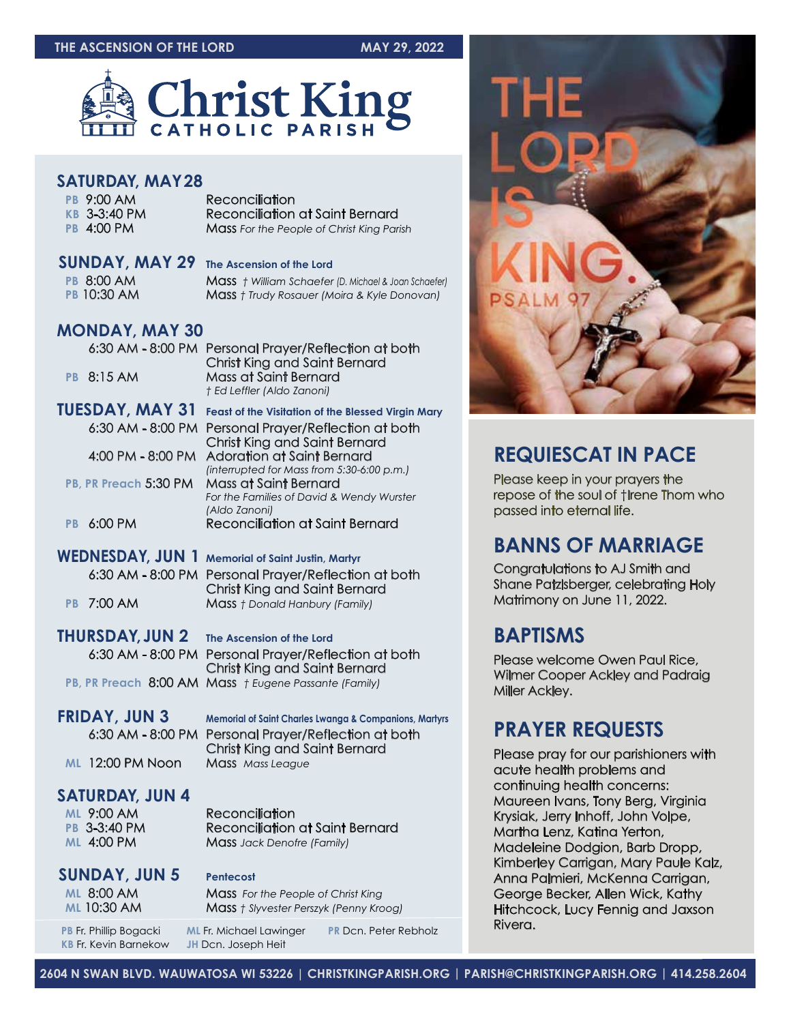#### **THE ASCENSION OF THE LORD MAY 29, 2022**



#### **SATURDAY, MAY28**

| PB 9:00 AM<br>KB 3-3:40 PM<br>PB 4:00 PM | Reconciliation<br><b>Reconciliation at Saint Bernard</b><br><b>Mass</b> For the People of Christ King Parish |
|------------------------------------------|--------------------------------------------------------------------------------------------------------------|
|                                          |                                                                                                              |

| <b>SUNDAY, MAY 29</b> The Ascension of the Lord |                                                      |
|-------------------------------------------------|------------------------------------------------------|
| <b>PB 8:00 AM</b>                               | Mass + William Schaefer (D. Michael & Joan Schaefer) |
| <b>PB 10:30 AM</b>                              | <b>Mass</b> † Trudy Rosauer (Moira & Kyle Donovan)   |

#### **MONDAY, MAY 30**

| PB.       | 6:30 AM - 8:00 PM<br>8:15AM | Personal Prayer/Reflection at both<br><b>Christ King and Saint Bernard</b><br>Mass at Saint Bernard<br>† Ed Leffler (Aldo Zanoni) |
|-----------|-----------------------------|-----------------------------------------------------------------------------------------------------------------------------------|
|           | TUESDAY, MAY 31             | <b>Feast of the Visitation of the Blessed Virgin Mary</b>                                                                         |
|           | $6:30$ AM - $8:00$ PM       | Personal Prayer/Reflection at both<br><b>Christ King and Saint Bernard</b>                                                        |
|           | 4:00 PM - 8:00 PM           | <b>Adoration at Saint Bernard</b>                                                                                                 |
|           |                             | (interrupted for Mass from 5:30-6:00 p.m.)                                                                                        |
|           | PB, PR Preach 5:30 PM       | Mass at Saint Bernard                                                                                                             |
|           |                             | For the Families of David & Wendy Wurster<br>(Aldo Zanoni)                                                                        |
| <b>PB</b> | $6:00$ PM                   | Reconciliation at Saint Bernard                                                                                                   |
|           |                             |                                                                                                                                   |
|           | WEDNESDAY, JUN 1            | <b>Memorial of Saint Justin, Martyr</b>                                                                                           |
|           | $6:30$ AM - $8:00$ PM       | Personal Prayer/Reflection at both<br><b>Christ King and Saint Bernard</b>                                                        |
| <b>PB</b> | 7:00 AM                     | <b>Mass</b> † Donald Hanbury (Family)                                                                                             |

**THURSDAY,JUN 2 The Ascension of the Lord** 6:30 AM - 8:00 PM Personal Prayer/Reflection at both Christ King and Saint Bernard **PB, PR Preach** 8:00 AM Mass *† Eugene Passante (Family)*

**FRIDAY, JUN 3** Memorial of Saint Charles Lwanga & Companions, Martyrs 6:30 AM - 8:00 PM Personal Prayer/Reflection at both Christ King and Saint Bernard **ML** 12:00 PM Noon Mass *Mass League*

#### **SATURDAY, JUN 4**

| <b>ML 9:00 AM</b>   |  |
|---------------------|--|
| <b>PB 3-3:40 PM</b> |  |
| <b>ML 4:00 PM</b>   |  |

#### **Reconciliation Reconciliation at Saint Bernard Mass** *Jack Denofre (Family)*

**SUNDAY, JUN 5 Pentecost**

**ML 8:00 AM Mass** *For the People of Christ King*<br>**Mass** *f Sivvester Perszyk (Penny Kromer AMA)* **Mass** *† Slyvester Perszyk (Penny Kroog)* 

**PB** Fr. Phillip Bogacki **ML** Fr. Michael Lawinger **PR** Dcn. Peter Rebholz

**KB** Fr. Kevin Barnekow **JH** Dcn. Joseph Heit



# **REQUIESCAT IN PACE**

Please keep in your prayers the repose of the soul of †Irene Thom who passed into eternal life.

# **BANNS OF MARRIAGE**

Congratulations to AJ Smith and Shane Patzlsberger, celebrating Holy Matrimony on June 11, 2022.

## **BAPTISMS**

Please welcome Owen Paul Rice, Wilmer Cooper Ackley and Padraig Miller Ackley.

## **PRAYER REQUESTS**

Please pray for our parishioners with acute health problems and continuing health concerns: Maureen Ivans, Tony Berg, Virginia Krysiak, Jerry Inhoff, John Volpe, Martha Lenz, Katina Yerton, Madeleine Dodgion, Barb Dropp, Kimberley Carrigan, Mary Paule Kalz, Anna Palmieri, McKenna Carrigan, George Becker, Allen Wick, Kathy Hitchcock, Lucy Fennig and Jaxson Rivera.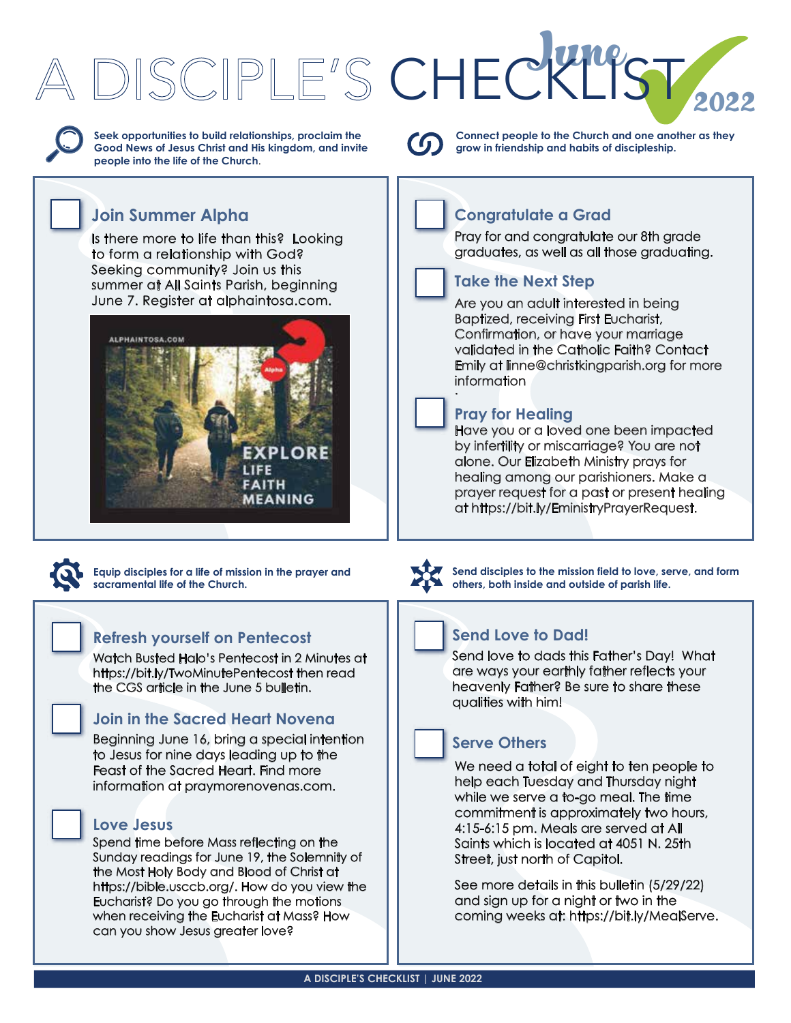# June PST. CHECKLIST



**Seek opportunities to build relationships, proclaim the Good News of Jesus Christ and His kingdom, and invite people into the life of the Church**.

# **Join Summer Alpha**

[Is there more to life than this? Looking](https://www.alphaintosa.com)  to form a relationship with God? Seeking community? Join us this summer at All Saints Parish, beginning June 7. Register at alphaintosa.com.





**Equip disciples for a life of mission in the prayer and sacramental life of the Church.**

#### **Refresh yourself on Pentecost**

[Watch Busted Halo's Pentecost in 2 Minutes at](https://bit.ly/TwoMinutePentecost)  https://bit.ly/TwoMinutePentecost then read the CGS article in the June 5 bulletin.

## **[Join in the Sacred Heart Novena](https://www.praymorenovenas.com)**

Beginning June 16, bring a special intention to Jesus for nine days leading up to the Feast of the Sacred Heart. Find more information at praymorenovenas.com.

#### **Love Jesus**

Spend time before Mass reflecting on the Sunday readings for June 19, the Solemnity of the Most Holy Body and Blood of Christ at [https://bible.usccb.org/. How do you view the](https://bible.usccb.org/)  Eucharist? Do you go through the motions when receiving the Eucharist at Mass? How can you show Jesus greater love?



**Connect people to the Church and one another as they grow in friendship and habits of discipleship.**

# **Congratulate a Grad**

Pray for and congratulate our 8th grade graduates, as well as all those graduating.

### **Take the Next Step**

Are you an adult interested in being Baptized, receiving First Eucharist, Confirmation, or have your marriage validated in the Catholic Faith? Contact [Emily at linne@christkingparish.org for more](mailto:linne@christkingparish.org)  information .

## **Pray for Healing**

Have you or a loved one been impacted by infertility or miscarriage? You are not alone. Our Elizabeth Ministry prays for healing among our parishioners. Make a [prayer request for a past or present healing](https://bit.ly/EministryPrayerRequest)  at https://bit.ly/EministryPrayerRequest.



**Send disciples to the mission field to love, serve, and form others, both inside and outside of parish life.**

# **Send Love to Dad!**

Send love to dads this Father's Day! What are ways your earthly father reflects your heavenly Father? Be sure to share these qualities with him!

## **Serve Others**

We need a total of eight to ten people to help each Tuesday and Thursday night while we serve a to-go meal. The time commitment is approximately two hours, 4:15-6:15 pm. Meals are served at All Saints which is located at 4051 N. 25th Street, just north of Capitol.

See more details in this bulletin (5/29/22) and sign up for a night or two in the [coming weeks at: https://bit.ly/MealServe.](https://bit.ly/MealServe)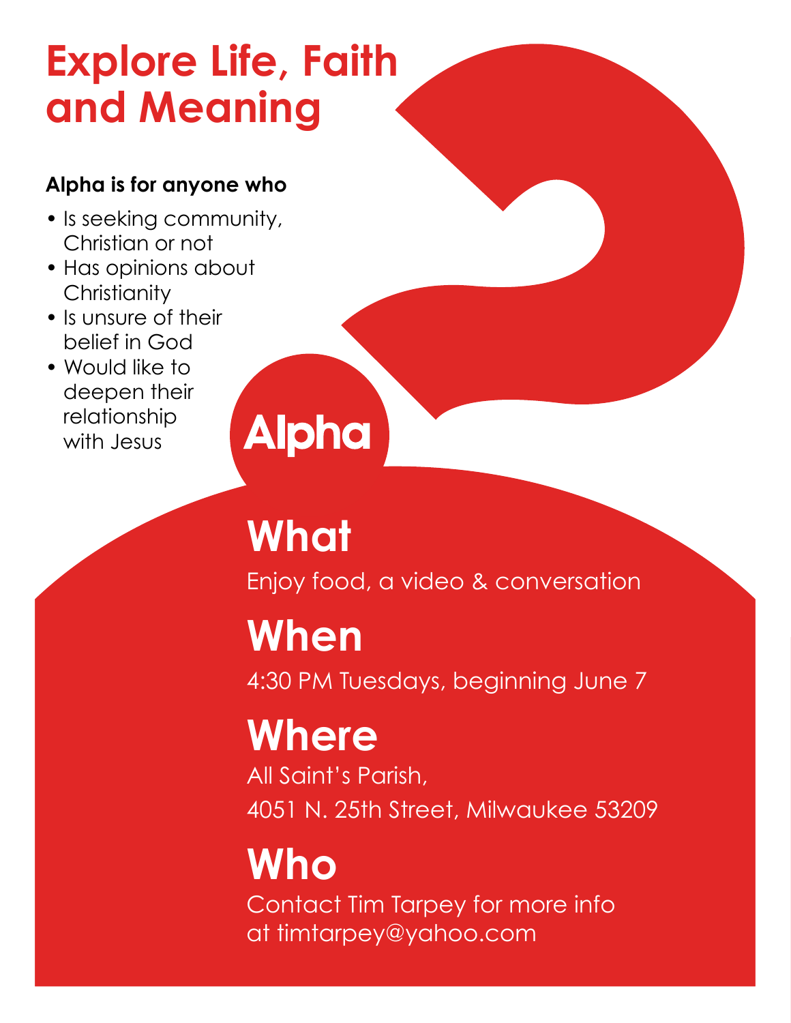# **[Explore Life, Faith](https;//www.alphaintosa.com) and Meaning**

# **Alpha is for anyone who**

- Is seeking community, Christian or not
- Has opinions about **Christianity**
- Is unsure of their belief in God
- Would like to deepen their relationship with **Jesus**

# **Alpha**

# **What**

Enjoy food, a video & conversation

# **When**

4:30 PM Tuesdays, beginning June 7

# **Where**

All Saint's Parish, 4051 N. 25th Street, Milwaukee 53209

# **Who** Contact Tim Tarpey for more info at [timtarpey@yahoo.com](mailto:timtarpey@yahoo.com)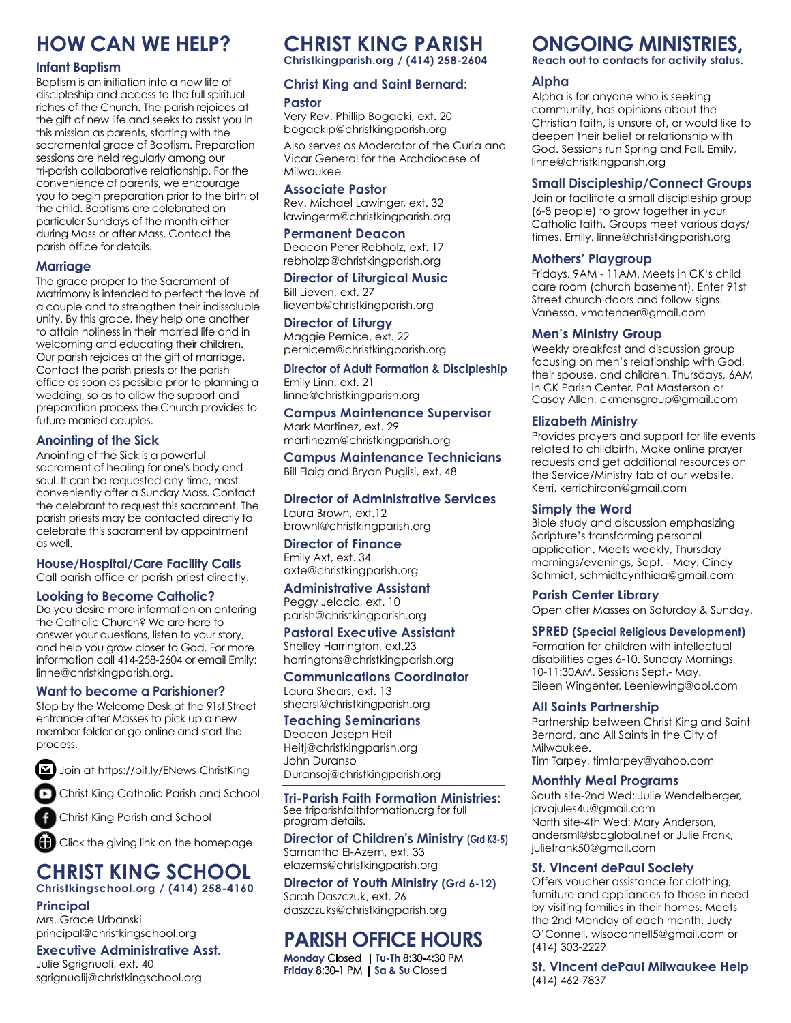# **HOW CAN WE HELP?**

#### **Infant Baptism**

Baptism is an initiation into a new life of discipleship and access to the full spiritual riches of the Church. The parish rejoices at the gift of new life and seeks to assist you in this mission as parents, starting with the sacramental grace of Baptism. Preparation sessions are held regularly among our tri-parish collaborative relationship. For the convenience of parents, we encourage you to begin preparation prior to the birth of the child. Baptisms are celebrated on particular Sundays of the month either during Mass or after Mass. Contact the parish office for details.

#### **Marriage**

The grace proper to the Sacrament of Matrimony is intended to perfect the love of a couple and to strengthen their indissoluble unity. By this grace, they help one another to attain holiness in their married life and in welcoming and educating their children. Our parish rejoices at the gift of marriage. Contact the parish priests or the parish office as soon as possible prior to planning a wedding, so as to allow the support and preparation process the Church provides to future married couples.

#### **Anointing of the Sick**

Anointing of the Sick is a powerful sacrament of healing for one's body and soul. It can be requested any time, most conveniently after a Sunday Mass. Contact the celebrant to request this sacrament. The parish priests may be contacted directly to celebrate this sacrament by appointment as well.

#### **House/Hospital/Care Facility Calls** Call parish office or parish priest directly.

#### **Looking to Become Catholic?**

Do you desire more information on entering the Catholic Church? We are here to answer your questions, listen to your story, and help you grow closer to God. For more information call 414-258-2604 or email Emily: [linne@christkingparish.org.](mailto:linne@christkingparish.org)

#### **Want to become a Parishioner?**

Stop by the Welcome Desk at the 91st Street entrance after Masses to pick up a new member folder or go online and start the process.

M [Join at https://bit.ly/ENews-ChristKing](https://bit.ly/ENews-ChristKing)

[Christ King Catholic Parish and School](https://www.youtube.com/channel/UCzJ4ObNxSlu6EJKueoPr4Dg)

[Christ King Parish and School](https://www.facebook.com/christkingparishandschool)

[Click the giving link on the homepage](https://www.eservicepayments.com/cgi-bin/Vanco_ver3.vps?appver3=tYgT1GfNxRUldiimjHMvOSc_qcKfArW-mGLBJ0s6YHybVUj5bO4SnBpBvkGj-Y2C_szRjQkBd_TowVIM2qGpysfDMNaSWakGY0od-6pjreE=&ver=3)

#### **[CHRIST KING SCHOOL](http://www.christkingschool.org) Christkingschool.org / (414) 258-4160**

#### **Principal**

Mrs. Grace Urbanski [principal@christkingschool.org](mailto:principal@christkingschool.org)

#### **Executive Administrative Asst.**

Julie Sgrignuoli, ext. 40 [sgrignuolij@christkingschool.org](mailto:sgrignuolij@christkingschool.org)

# **[CHRIST KING PARISH](https://www.christkingparish.org)**

**Christkingparish.org / (414) 258-2604**

#### **Christ King and Saint Bernard: Pastor**

Very Rev. Phillip Bogacki, ext. 20 [bogackip@christkingparish.org](mailto:bogackip@christkingparish.org) Also serves as Moderator of the Curia and Vicar General for the Archdiocese of Milwaukee

#### **Associate Pastor**

Rev. Michael Lawinger, ext. 32 [lawingerm@christkingparish.org](mailto:lawingerm@christkingparish.org)

#### **Permanent Deacon**

Deacon Peter Rebholz, ext. 17 [rebholzp@christkingparish.org](mailto:rebholzp@christkingparish.org)

**Director of Liturgical Music** Bill Lieven, ext. 27 [lievenb@christkingparish.org](mailto:lievenb@christkingparish.org)

#### **Director of Liturgy**

Maggie Pernice, ext. 22 [pernicem@christkingparish.org](mailto:pernicem@christkingparish.org)

#### **Director of Adult Formation & Discipleship**

Emily Linn, ext. 21 [linne@christkingparish.org](mailto:linne@christkingparish.org)

#### **Campus Maintenance Supervisor**

Mark Martinez, ext. 29 [martinezm@christkingparish.org](mailto:martinezm@christkingparish.org)

**Campus Maintenance Technicians** Bill Flaig and Bryan Puglisi, ext. 48

#### **Director of Administrative Services**

Laura Brown, ext.12 [brownl@christkingparish.org](mailto:brownl@christkingparish.org)

#### **Director of Finance**

Emily Axt, ext. 34 [axte@christkingparish.org](mailto:axte@christkingparish.org)

**Administrative Assistant** Peggy Jelacic, ext. 10 [parish@christkingparish.org](mailto:parish@christkingparish.org)

#### **Pastoral Executive Assistant**

Shelley Harrington, ext.23 [harringtons@christkingparish.org](mailto:harringtons@christkingparish.org)

#### **Communications Coordinator**

Laura Shears, ext. 13 [shearsl@christkingparish.org](mailto:shearsl@christkingparish.org)

#### **Teaching Seminarians**

Deacon Joseph Heit [Heitj@christkingparish.org](mailto:Heitj@christkingparish.org) John Duranso [Duransoj@christkingparish.org](mailto:Duransoj@christkingparish.org)

**[Tri-Parish Faith Formation Ministries:](https://www.triparishfaithformation.org)**  See triparishfaithformation.org for full program details.

**Director of Children's Ministry (Grd K3-5)** Samantha El-Azem, ext. 33 [elazems@christkingparish.org](mailto:elazems@christkingparish.org)

#### **Director of Youth Ministry (Grd 6-12)**

Sarah Daszczuk, ext. 26 [daszczuks@christkingparish.org](mailto:daszczuks@christkingparish.org)

# **PARISH OFFICE HOURS**

**Monday** Closed **| Tu-Th** 8:30-4:30 PM **Friday** 8:30-1 PM | **Sa & Su** Closed

# **ONGOING MINISTRIES,**

**Reach out to contacts for activity status.**

#### **Alpha**

Alpha is for anyone who is seeking community, has opinions about the Christian faith, is unsure of, or would like to deepen their belief or relationship with God. Sessions run Spring and Fall. Emily, [linne@christkingparish.org](mailto:linne@christkingparish.org)

#### **Small Discipleship/Connect Groups**

Join or facilitate a small discipleship group (6-8 people) to grow together in your Catholic faith. Groups meet various days/ times. Emily, [linne@christkingparish.org](mailto:linne@christkingparish.org)

#### **Mothers' Playgroup**

Fridays, 9AM - 11AM. Meets in CK's child care room (church basement). Enter 91st Street church doors and follow signs. Vanessa, [vmatenaer@gmail.com](mailto:vmatenaer@gmail.com)

#### **Men's Ministry Group**

Weekly breakfast and discussion group focusing on men's relationship with God, their spouse, and children. Thursdays, 6AM in CK Parish Center. Pat Masterson or Casey Allen, [ckmensgroup@gmail.com](mailto:ckmensgroup@gmail.com)

#### **Elizabeth Ministry**

Provides prayers and support for life events related to childbirth. Make online prayer requests and get additional resources on the Service/Ministry tab of our website. Kerri, [kerrichirdon@gmail.com](mailto:kerrichirdon@gmail.com)

#### **Simply the Word**

Bible study and discussion emphasizing Scripture's transforming personal application. Meets weekly, Thursday mornings/evenings, Sept. - May. Cindy Schmidt, [schmidtcynthiaa@gmail.com](mailto:schmidtcynthiaa@gmail.com)

#### **Parish Center Library**

Open after Masses on Saturday & Sunday.

#### **SPRED (Special Religious Development)**

Formation for children with intellectual disabilities ages 6-10. Sunday Mornings 10-11:30AM. Sessions Sept.- May. Eileen Wingenter, [Leeniewing@aol.com](mailto:Leeniewing@aol.com)

#### **All Saints Partnership**

Partnership between Christ King and Saint Bernard, and All Saints in the City of Milwaukee. Tim Tarpey, [timtarpey@yahoo.com](mailto:timtarpey@yahoo.com)

#### **Monthly Meal Programs**

South site-2nd Wed: Julie Wendelberger, [javajules4u@gmail.com](mailto:javajules4u@gmail.com) North site-4th Wed: Mary Anderson, [andersml@sbcglobal.net or](mailto:andersml@sbcglobal.net) Julie Frank, [juliefrank50@gmail.com](mailto:juliefrank50@gmail.com)

#### **St. Vincent dePaul Society**

Offers voucher assistance for clothing, furniture and appliances to those in need by visiting families in their homes. Meets the 2nd Monday of each month. Judy O'Connell, [wisoconnell5@gmail.com or](mailto:wisoconnell5@gmail.com) (414) 303-2229

**St. Vincent dePaul Milwaukee Help** (414) 462-7837